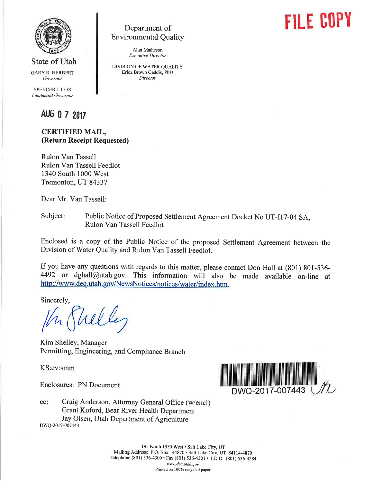

State of Utah

GARYR. HERBERT Governor

SPENCER J. COX Lieutenant Governor

Department of Environmental Quality

> Alan Matheson Executive Director

DIVISION OF WATER QUALITY Erica Brown Gaddis, PhD Director

AUG 0 7 2017

## CERTIFIED MAIL, (Return Receipt Requested)

Rulon Van Tassell Rulon Van Tassell Feedlot 1340 South 1000 West Tremonton, UT 84337

Dear Mr. Van Tassell:

Subject: Public Notice of Proposed settlement Agreement Docket No UT-I17-04 SA, Rulon Van Tassell Feedlot

Enclosed is a copy of the Public Notice of the proposed Settlement Agreement between the Division of Water Quality and Rulon Van Tassell Feedlot.

If you have any questions with regards to this matter, please contact Don Hall at (801) 801-536-  $4492$  or dghall@utah.gov. This information will also be made available on-line at http://www.deq.utah.gov/NewsNotices/notices/water/index.htm.

Sincerely,

lh.

Kim Shelley, Manager Permitting, Engineering, and Compliance Branch

KS:ev:smm

Enclosures: PN Document



**FILE COPY** 

Craig Anderson, Attorney General Office (w/encl) Grant Koford, Bear River Health Department Jay Olsen, Utah Department of Agriculture  $cc<sub>i</sub>$ DWQ-2017-007443

> 195 North 1950 West · Salt Lake City, UT Mailing Address: P.O. Box 144870 . Salt Lake City, UT 84114-4870 Telephone (801) 536-4300 · Fax (801) 536-4301 · T.D.D. (801) 536-4284 www.deq.utah.gov Printed on 100% recycled paper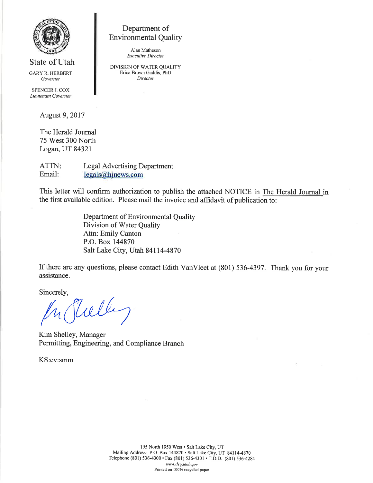

State of Utah

GARYR. HERBERT Governor

SPENCER J. COX Lieutenant Governor

August 9,2017

The Herald Journal 75 West 300 North Logan, UT 84321

ATTN Email: Legal Advertising Department  $legals@hinews.com$ 

This letter will confirm authorization to publish the attached NOTICE in The Herald Journal in the first available edition. Please mail the invoice and affidavit of publication to:

> Department of Environmental Quality Division of Water Quality Attn: Emily Canton P.O. Box 144870 Salt Lake City, Utah 84114-4870

Department of Environmental Quality

Alan Matheson Executive Director DIVISION OF WATER QUALITY Erica Brown Gaddis, PhD Director

If there are any questions, please contact Edith VanVleet at (S01) 536-4397 . Thank you for your assistance.

Sincerely,

wlle

Kim Shelley, Manager Permitting, Engineering, and Compliance Branch

KS:ev:smm

195 North 1950 West · Salt Lake City, UT Mailing Address: P.O. Box 144870 . Salt Lake City, UT 84114-4870 Telephone (801) 536-4300 · Fax (801) 536-4301 · T.D.D. (801) 536-4284 www.deq.utah.gov Printed on 100% recycled paper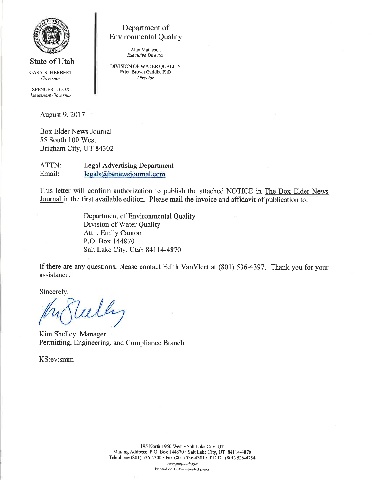

Department of Environmental Quality

> Alan Matheson Executive Director

DIVISION OF WATER QUALITY Erica Brown Gaddis, PhD Director

GARYR. HERBERT Governor

State of Utah

SPENCER J. COX Lieutenant Governor

August 9,2017

Box Elder News Journal 55 South 100 West Brigham City, UT 84302

ATTN: Legal Advertising Department Email: legals@benewsjournal.com

This letter will confirm authorization to publish the attached NOTICE in The Box Elder News Journal in the first available edition. Please mail the invoice and affidavit of publication to:

> Department of Environmental Quality Division of Water Quality Attn: Emily Canton P.O. Box 144870 Salt Lake City, Utah 84114-4870

If there are any questions, please contact Edith VanVleet at (801) 536-4397. Thank you for your assistance.

Sincerely,

Kim Shelley, Manager Permitting, Engineering, and Compliance Branch

KS:ev:smm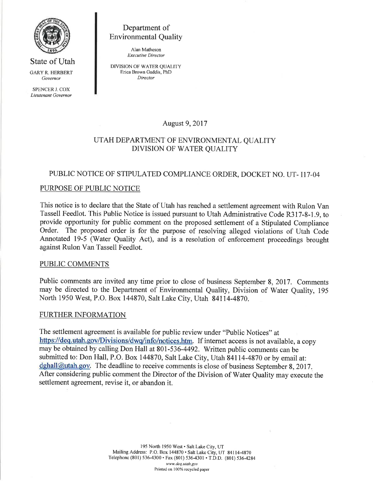

State of Utah GARYR. HERBERT Governor SPENCER J. COX Lieutenant Governor

Department ot Environmental Quality

> Alan Matheson Executive Director

DIVISION OF WATER QUALITY Erica Brown Gaddis, PhD Director

August 9,2017

## UTAH DEPARTMENT OF ENVIRONMENTAL QUALITY DIVISION OF WATER QUALITY

# PUBLIC NOTICE OF STIPULATED COMPLIANCE ORDER, DOCKET NO. UT- II7-04

# PURPOSE OF PUBLIC NOTICE

This notice is to declare that the State of Utah has reached a settlement agreement with Rulon Van Tassell Feedlot. This Public Notice is issued pursuant to Utah Administrative Code R317-8-1.9, to provide opportunity for public comment on the proposed settlement of a Stipulated Compliance Order. The proposed order is for the purpose of resolving alleged violations of Utah Code Annotated 19-5 (Water Quality Act), and is a resolution of enforcement proceedings brought against Rulon Van Tassell Feedlot.

### PUBLIC COMMENTS

Public comments are invited any time prior to close of business September 8, 2017. Comments may be directed to the Department of Environmental Quality, Division of Water Quality, <sup>195</sup> North 1950 West, P.O. Box 144870, Salt Lake City, Utah 84114-4970.

### FURTHER INFORMATION

The settlement agreement is available for public review under "Public Notices" at https://deq.utah.gov/Divisions/dwq/info/notices.htm. If internet access is not available, a copy may be obtained by calling Don Hall at 801-536-4492. Written public comments can be submitted to: Don Hall, P.O. Box 144870, Salt Lake City, Utah 841 14-4870 or by email at:  $dghall@utah.gov.$  The deadline to receive comments is close of business September 8, 2017. After considering public comment the Director of the Division of Water Quality may execute the settlement agreement, revise it, or abandon it.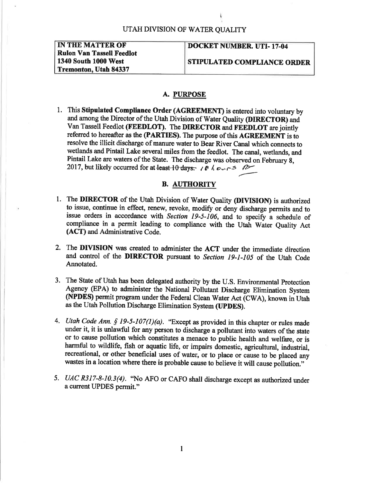| IN THE MATTER OF                 |
|----------------------------------|
| <b>Rulon Van Tassell Feedlot</b> |
| <b>1340 South 1000 West</b>      |
| Tremonton, Utah 84337            |

#### DOCKET NUMBER. UTI-17-04

STIPULATED COMPLIANCE ORDER

### A. PURPOSE

l. This Stipulated Compliance Order (AGREEMENT) is entered into voluntary by and among the Director of the Utah Division of Water Ouality (DIRECTOR) and Van Tassell Feedlot (FEEDLOT). The DIRECTOR and FEEDLOT are jointly referred to hereafter as the (PARTIES). The purpose of this AGREEMENT is to resolve the illicit discharge of manure water to Bear River Canal which connects to wetlands and Pintail Lake several miles from the feedlot. The canal, wetlands, and Pintail Lake are waters of the State. The discharge was observed on February 8, 2017, but likely occurred for at least 10 days:  $\ell \notin \ell \cup r$  =  $\ell$ 

#### B. AUTHORITY

- 1. The DIRECTOR of the Utah Division of Water Quality (DIVISION) is authorized to issue, continue in effect, renew, revoke, modify or deny discharge permits and to issue orders in accordance with Section  $19-5-106$ , and to specify a schedule of compliance in a permit leading to compliance with the Utah Water Quality Act (ACT) and Administrative Code.
- 2. The DIVISION was created to administer the ACT under the immediate direction and control of the DIRECTOR pursuant to Section 19-1-105 of the Utah Code Annotated.
- 3. The State of Utah has been delegated authority by the U.S. Environmental protection Agency (EPA) to administer the National Pollutant Discharge Elimination System (NPDES) permit prograrn under the Federal Clean Water Act (CWA), known in Utah as the Utah Pollution Discharge Elimination System (UPDES).
- 4. Utah Code Ann. § 19-5-107(1)(a). "Except as provided in this chapter or rules made under it, it is unlawful for any person to discharge a pollutant into waters of the state or to cause pollution which constitutes a menace to public health and welfare, or is harmful to wildlife, fish or aquatic life, or impairs domestic, agricultural, industrial, recreational, or other beneficial uses of water, or to place or cause to be placed any wastes in a location where there is probable cause to believe it will pollution."
- 5. UAC R317-8-10.3(4). "No AFO or CAFO shall discharge except as authorized under a current UPDES permit."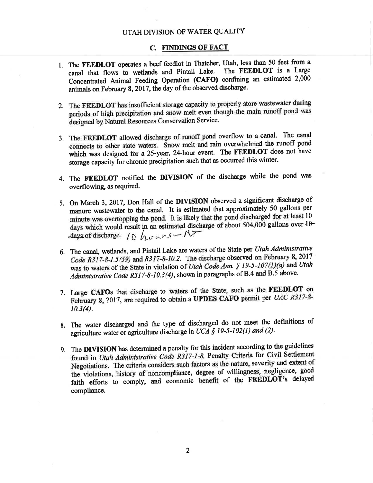#### UTAH DIVISION OF WATER QUALITY

#### C. FINDINGS OF FACT

- 1. The FEEDLOT operates a beef feedlot in Thatcher, Utah, less than 50 feet from a canal that flows to wetlands and Pintail Lake. The FEEDLOT is a Large Concentrated Animal Feeding Operation (CAFO) confining an estimated 2,000 animals on February 8, 2017, the day of the observed discharge.
- 2. The FEEDLOT has insufficient storage capacity to properly store wastewater during periods of high precipitation and snow melt even though the main runoff pond was designed by Natural Resources Conservation Service.
- 3. The FEEDLOT allowed discharge of runoff pond overflow to a canal. The canal connects to other state waters. Snow melt and rain overwhelmed the runoff pond which was designed for a 25-year, 24-hour event. The FEEDLOT does not have storage capacity for chronic precipitation such that as occurred this winter.
- 4. The FEEDLOT notified the DIVISION of the discharge while the pond was overflowing, as required.
- 5. On March 3, 2017, Don Hall of the DIVISION observed a significant discharge of manure wastewater to the canal. It is estimated that approximately 50 gallons per minute was overtopping the pond. It is tikely that the pond discharged for at least <sup>10</sup> days which would result in an estimated discharge of about 504,000 gallons over  $10-$ -days of discharge.  $\int_{0}^{L} h \cdot u \cdot s - \Lambda$
- 6. The canal, wetlands, and Pintail Lake are waters of the State per Utah Administrative Code R317-8-1.5(59) and R317-8-10.2. The discharge observed on February 8, 2017 was to waters of the State in violation of Utah Code Ann. § 19-5-107(1)(a) and Utah Administrative Code R317-8-10.3(4), shown in paragraphs of B.4 and B.5 above.
- 7. Large CAFOs that discharge to waters of the State, such as the FEEDLOT on February 8, 2017, are required to obtain a UPDES CAFO permit per UAC R317-8-10.3(4).
- 8. The water discharged and the type of discharged do not meet the definitions of agriculture water or agriculture discharge in UCA § 19-5-102(1) and (2).
- 9. The DIVISION has determined a penalty for this incident according to the guidelines found in Utah Administrative Code R317-1-8, Penalty Criteria for Civil Settlement Negotiations. The criteria considers such factors as the nature, severity and extent of the violations, history of noncompliance, degree of willingness, negligence, good faith efforts to comply, and economic benefit of the FEEDLOT's delayed compliance.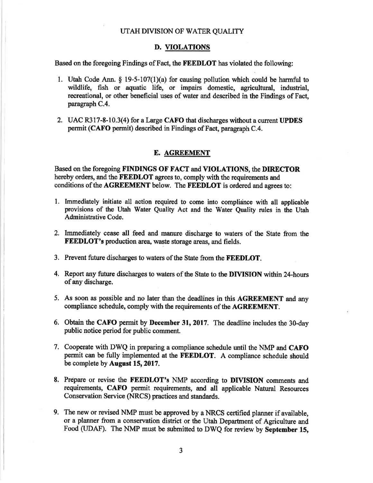#### D. VIOLATIONS

Based on the foregoing Findings of Fact, the **FEEDLOT** has violated the following:

- 1. Utah Code Ann. \$ 19-5-107(1)(a) for causing pollution which could be harmful to wildlife, fish or aquatic life, or impairs domestic, agricultural, industrial, recreational, or other beneficial uses of water and described in the Findings of Fact, paragraph C.4.
- 2. UAC R317-8-10.3(4) for a Large CAFO that discharges without a current UPDES permit (CAFO permit) described in Findings of Fact, paragraph C.4.

#### E. AGREEMENT

Based on the foregoing FINDINGS OF FACT and VIOLATIONS, the DIRECTOR hereby orders, and the FEEDLOT agrees to, comply with the requirements and conditions of the AGREEMENT below. The FEEDLOT is ordered and agrees to:

- l. Immediately initiate all action required to come into complidnce with all applicable provisions of the Utah Water Quality Act and the Water Quality rules in the Utah Administrative Code.
- 2. Immediately cease all feed and manure discharge to waters of the State from the **FEEDLOT's production area, waste storage areas, and fields.**
- 3. Prevent future discharges to waters of the State from the FEEDLOT.
- 4. Report any future discharges to waters of the State to the DIVISION within 24-hours of any discharge.
- 5. As soon as possible and no later than the deadlines in this AGREEMENT and any compliance schedule, comply with the requirements of the AGREEMENT.
- 6. Obtain the CAFO permit by December 31, 2017. The deadline includes the 30-day public notice period for public comment.
- 7, Cooperate with DWQ in preparing a compliance schedule until the NMP and CAFO permit can be fully implemented at the FEEDLOT. A compliance schedule should be complete by August 15, 2017.
- 8. Prepare or revise the FEEDLOT's NMP according to DIVISION comments and requirements, CAFO permit requirements, and all applicable Natural Resources Conservation Service (NRCS) practices and standards.
- 9. The new or revised NMP must be approved by aNRCS certified planner if available, or a planner from a conservation district or the Utah Department of Agriculture and Food (UDAF). The NMP must be submitted to DWQ for review by September 15,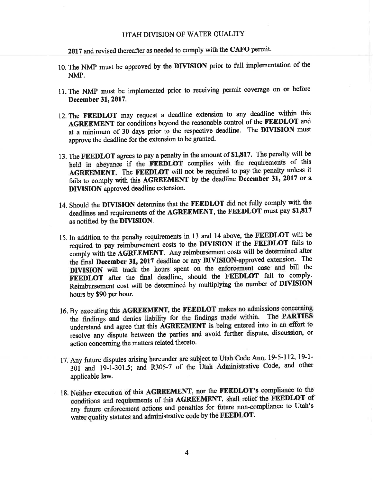#### UTAH DIVISION OF WATER QUALITY

2017 and revised thereafter as needed to comply with the CAFO permit.

- 10. The NMP must be approved by the DIVISION prior to full implementation of the NMP.
- ll.The NMP must be implemented prior to receiving permit coverage on or before December 31, 2017.
- 12. The FEEDLOT may request a deadline extension to any deadline within this AGREEMENT for conditions beyond the reasonable control of the FEEDLOT and at a minimum of 30 days prior to the respective deadline. The DIVISION must approve the deadline for the extension to be granted.
- 13. The FEEDLOT agrees to pay a penalty in the amount of \$1,817. The penalty will be held in abeyance if the FEEDLOT complies with the requirements of this AGREEMENT. The FEEDLOT will not be required to pay the penalty unless it fails to comply with this AGREEMENT by the deadline December 31, 2017 or a DIVISION approved deadline extension.
- 14. Should the DIVISION determine that the FEEDLOT did not tully comply with the deadlines and requirements of the AGREEMENT, the FEEDLOT must pay \$1,817 as notified by the DIVISION.
- 15.In addition to the penalty requirements in 13 and 14 above, the FEEDLOT will be required to pay reimbursement costs to the DIVISION if the FEEDLOT fails to comply with the AGREEMENT. Any reimbursement costs will be determined after the final December 31, 2017 deadline or any DIVISION-approved extension. The DIVISION will track the hours spent on the enforcement case and bill the FEEDLOT after the final deadline, should the FEEDLOT fail to comply. Reimbursement cost wilt be determined by multiplying the number of DIVISION hours by \$90 per hour.
- 16. By executing this AGREEMENT, the FEEDLOT makes no admissions concerning the findings and denies liability for the findings made within. The PARTIES understand and agree that this AGREEMENT is being entered into in an effort to resolve any dispute between the parties and avoid further dispute, discussion, or action concerning the matters related thereto.
- 17. Any future disputes arising hereunder are subject to Utah Code Ann. 19-5-112, 19-1-301 and 19-1-301.5; and R305-7 of the Utah Administrative Code, and other applicable law.
- 18. Neither execution of this AGREEMENT, nor the FEEDLOT's compliance to the conditions and requirements of this AGREEMENT, shall relief the FEEDLOT of any future enforcement actions and penalties for future non-compliance to Utah's water quality statutes and administrative code by the FEEDLOT.